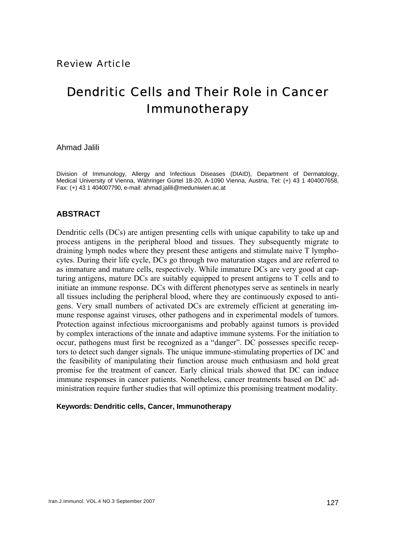# Dendritic Cells and Their Role in Cancer Immunotherapy

Ahmad Jalili

Division of Immunology, Allergy and Infectious Diseases (DIAID), Department of Dermatology, Medical University of Vienna, Währinger Gürtel 18-20, A-1090 Vienna, Austria, Tel: (+) 43 1 404007658, Fax: (+) 43 1 404007790, e-mail: ahmad.jalili@meduniwien.ac.at

# **ABSTRACT**

Dendritic cells (DCs) are antigen presenting cells with unique capability to take up and process antigens in the peripheral blood and tissues. They subsequently migrate to draining lymph nodes where they present these antigens and stimulate naive T lymphocytes. During their life cycle, DCs go through two maturation stages and are referred to as immature and mature cells, respectively. While immature DCs are very good at capturing antigens, mature DCs are suitably equipped to present antigens to T cells and to initiate an immune response. DCs with different phenotypes serve as sentinels in nearly all tissues including the peripheral blood, where they are continuously exposed to antigens. Very small numbers of activated DCs are extremely efficient at generating immune response against viruses, other pathogens and in experimental models of tumors. Protection against infectious microorganisms and probably against tumors is provided by complex interactions of the innate and adaptive immune systems. For the initiation to occur, pathogens must first be recognized as a "danger". DC possesses specific receptors to detect such danger signals. The unique immune-stimulating properties of DC and the feasibility of manipulating their function arouse much enthusiasm and hold great promise for the treatment of cancer. Early clinical trials showed that DC can induce immune responses in cancer patients. Nonetheless, cancer treatments based on DC administration require further studies that will optimize this promising treatment modality.

## **Keywords: Dendritic cells, Cancer, Immunotherapy**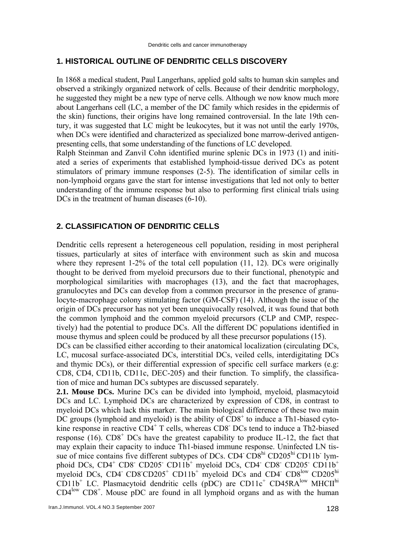#### **1. HISTORICAL OUTLINE OF DENDRITIC CELLS DISCOVERY**

In 1868 a medical student, Paul Langerhans, applied gold salts to human skin samples and observed a strikingly organized network of cells. Because of their dendritic morphology, he suggested they might be a new type of nerve cells. Although we now know much more about Langerhans cell (LC, a member of the DC family which resides in the epidermis of the skin) functions, their origins have long remained controversial. In the late 19th century, it was suggested that LC might be leukocytes, but it was not until the early 1970s, when DCs were identified and characterized as specialized bone marrow-derived antigenpresenting cells, that some understanding of the functions of LC developed.

Ralph Steinman and Zanvil Cohn identified murine splenic DCs in 1973 (1) and initiated a series of experiments that established lymphoid-tissue derived DCs as potent stimulators of primary immune responses (2-5). The identification of similar cells in non-lymphoid organs gave the start for intense investigations that led not only to better understanding of the immune response but also to performing first clinical trials using DCs in the treatment of human diseases (6-10).

# **2. CLASSIFICATION OF DENDRITIC CELLS**

Dendritic cells represent a heterogeneous cell population, residing in most peripheral tissues, particularly at sites of interface with environment such as skin and mucosa where they represent  $1-2\%$  of the total cell population  $(11, 12)$ . DCs were originally thought to be derived from myeloid precursors due to their functional, phenotypic and morphological similarities with macrophages (13), and the fact that macrophages, granulocytes and DCs can develop from a common precursor in the presence of granulocyte-macrophage colony stimulating factor (GM-CSF) (14). Although the issue of the origin of DCs precursor has not yet been unequivocally resolved, it was found that both the common lymphoid and the common myeloid precursors (CLP and CMP, respectively) had the potential to produce DCs. All the different DC populations identified in mouse thymus and spleen could be produced by all these precursor populations (15).

DCs can be classified either according to their anatomical localization (circulating DCs, LC, mucosal surface-associated DCs, interstitial DCs, veiled cells, interdigitating DCs and thymic DCs), or their differential expression of specific cell surface markers (e.g: CD8, CD4, CD11b, CD11c, DEC-205) and their function. To simplify, the classification of mice and human DCs subtypes are discussed separately.

**2.1. Mouse DCs.** Murine DCs can be divided into lymphoid, myeloid, plasmacytoid DCs and LC. Lymphoid DCs are characterized by expression of CD8, in contrast to myeloid DCs which lack this marker. The main biological difference of these two main  $\overline{DC}$  groups (lymphoid and myeloid) is the ability of  $\overline{CD8}^+$  to induce a Th1-biased cytokine response in reactive CD4<sup>+</sup> T cells, whereas CD8<sup>-</sup> DCs tend to induce a Th2-biased response  $(16)$ .  $CD8<sup>+</sup> DCs$  have the greatest capability to produce IL-12, the fact that may explain their capacity to induce Th1-biased immune response. Uninfected LN tissue of mice contains five different subtypes of DCs. CD4 CD8<sup>hi</sup> CD205<sup>hi</sup> CD11b<sup>-</sup> lymphoid DCs, CD4<sup>+</sup> CD8<sup>-</sup> CD205<sup>-</sup> CD11b<sup>+</sup> myeloid DCs, CD4<sup>-</sup> CD8<sup>-</sup> CD205<sup>-</sup> CD11b<sup>+</sup> myeloid DCs, CD4  $\text{CD}8^{\text{CD}}205^+$  CD11b<sup>+</sup> myeloid DCs and CD4<sup>-</sup> CD8<sup>low</sup> CD205<sup>hi</sup>  $CD11b<sup>+</sup>$  LC. Plasmacytoid dendritic cells (pDC) are CD11c<sup>+</sup> CD45RA<sup>low</sup> MHCII<sup>hi</sup> CD4low CD8+ . Mouse pDC are found in all lymphoid organs and as with the human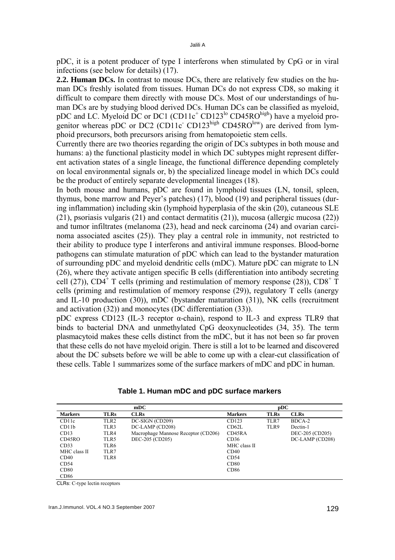pDC, it is a potent producer of type I interferons when stimulated by CpG or in viral infections (see below for details) (17).

**2.2. Human DCs.** In contrast to mouse DCs, there are relatively few studies on the human DCs freshly isolated from tissues. Human DCs do not express CD8, so making it difficult to compare them directly with mouse DCs. Most of our understandings of human DCs are by studying blood derived DCs. Human DCs can be classified as myeloid, pDC and LC. Myeloid DC or DC1 (CD11c<sup>+</sup> CD123<sup>lo</sup> CD45RO<sup>high</sup>) have a myeloid progenitor whereas pDC or DC2 (CD11c<sup>-</sup> CD123<sup>high</sup> CD45RO<sup>low</sup>) are derived from lymphoid precursors, both precursors arising from hematopoietic stem cells.

Currently there are two theories regarding the origin of DCs subtypes in both mouse and humans: a) the functional plasticity model in which DC subtypes might represent different activation states of a single lineage, the functional difference depending completely on local environmental signals or, b) the specialized lineage model in which DCs could be the product of entirely separate developmental lineages (18).

In both mouse and humans, pDC are found in lymphoid tissues (LN, tonsil, spleen, thymus, bone marrow and Peyer's patches) (17), blood (19) and peripheral tissues (during inflammation) including skin (lymphoid hyperplasia of the skin (20), cutaneous SLE (21), psoriasis vulgaris (21) and contact dermatitis (21)), mucosa (allergic mucosa (22)) and tumor infiltrates (melanoma (23), head and neck carcinoma (24) and ovarian carcinoma associated ascites (25)). They play a central role in immunity, not restricted to their ability to produce type I interferons and antiviral immune responses. Blood-borne pathogens can stimulate maturation of pDC which can lead to the bystander maturation of surrounding pDC and myeloid dendritic cells (mDC). Mature pDC can migrate to LN (26), where they activate antigen specific B cells (differentiation into antibody secreting cell (27)), CD4<sup>+</sup> T cells (priming and restimulation of memory response (28)), CD8<sup>+</sup> T cells (priming and restimulation of memory response (29)), regulatory T cells (anergy and IL-10 production (30)), mDC (bystander maturation (31)), NK cells (recruitment and activation (32)) and monocytes (DC differentiation (33)).

pDC express CD123 (IL-3 receptor  $\alpha$ -chain), respond to IL-3 and express TLR9 that binds to bacterial DNA and unmethylated CpG deoxynucleotides (34, 35). The term plasmacytoid makes these cells distinct from the mDC, but it has not been so far proven that these cells do not have myeloid origin. There is still a lot to be learned and discovered about the DC subsets before we will be able to come up with a clear-cut classification of these cells. Table 1 summarizes some of the surface markers of mDC and pDC in human.

|                |                  | mDC                                 |                | pDC         |                 |
|----------------|------------------|-------------------------------------|----------------|-------------|-----------------|
| <b>Markers</b> | <b>TLRs</b>      | <b>CLRs</b>                         | <b>Markers</b> | <b>TLRs</b> | <b>CLRs</b>     |
| CD11c          | TLR <sub>2</sub> | DC-SIGN (CD209)                     | CD123          | TLR7        | BDCA-2          |
| CD11b          | TLR3             | DC-LAMP (CD208)                     | CD62L          | TLR9        | Dectin-1        |
| CD13           | TLR4             | Macrophage Mannose Receptor (CD206) | CD45RA         |             | DEC-205 (CD205) |
| CD45RO         | TLR5             | DEC-205 (CD205)                     | CD36           |             | DC-LAMP (CD208) |
| CD33           | TLR6             |                                     | MHC class II   |             |                 |
| MHC class II   | TLR7             |                                     | CD40           |             |                 |
| CD40           | TLR8             |                                     | CD54           |             |                 |
| CD54           |                  |                                     | CD80           |             |                 |
| CD80           |                  |                                     | CD86           |             |                 |
| CD86           |                  |                                     |                |             |                 |

**Table 1. Human mDC and pDC surface markers** 

CLRs: C-type lectin receptors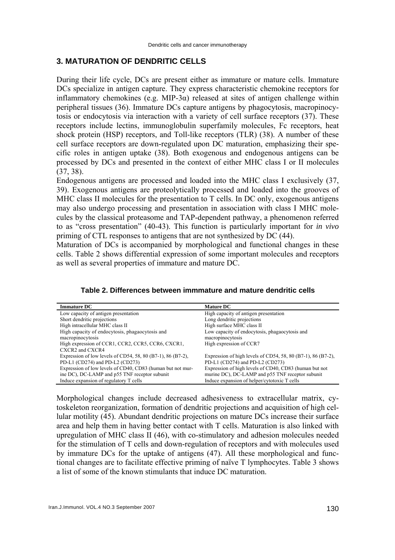# **3. MATURATION OF DENDRITIC CELLS**

During their life cycle, DCs are present either as immature or mature cells. Immature DCs specialize in antigen capture. They express characteristic chemokine receptors for inflammatory chemokines (e.g. MIP-3 $\alpha$ ) released at sites of antigen challenge within peripheral tissues (36). Immature DCs capture antigens by phagocytosis, macropinocytosis or endocytosis via interaction with a variety of cell surface receptors (37). These receptors include lectins, immunoglobulin superfamily molecules, Fc receptors, heat shock protein (HSP) receptors, and Toll-like receptors (TLR) (38). A number of these cell surface receptors are down-regulated upon DC maturation, emphasizing their specific roles in antigen uptake (38). Both exogenous and endogenous antigens can be processed by DCs and presented in the context of either MHC class I or II molecules (37, 38).

Endogenous antigens are processed and loaded into the MHC class I exclusively (37, 39). Exogenous antigens are proteolytically processed and loaded into the grooves of MHC class II molecules for the presentation to T cells. In DC only, exogenous antigens may also undergo processing and presentation in association with class I MHC molecules by the classical proteasome and TAP-dependent pathway, a phenomenon referred to as "cross presentation" (40-43). This function is particularly important for *in vivo* priming of CTL responses to antigens that are not synthesized by DC (44).

Maturation of DCs is accompanied by morphological and functional changes in these cells. Table 2 shows differential expression of some important molecules and receptors as well as several properties of immature and mature DC.

| Table 2. Differences between immmature and mature dendritic cells |  |  |  |  |  |  |
|-------------------------------------------------------------------|--|--|--|--|--|--|
|-------------------------------------------------------------------|--|--|--|--|--|--|

| <b>Immature DC</b>                                          | <b>Mature DC</b>                                             |
|-------------------------------------------------------------|--------------------------------------------------------------|
| Low capacity of antigen presentation                        | High capacity of antigen presentation                        |
| Short dendritic projections                                 | Long dendritic projections                                   |
| High intracellular MHC class II                             | High surface MHC class II                                    |
| High capacity of endocytosis, phagaocytosis and             | Low capacity of endocytosis, phagaocytosis and               |
| macropinocytosis                                            | macropinocytosis                                             |
| High expression of CCR1, CCR2, CCR5, CCR6, CXCR1,           | High expression of CCR7                                      |
| CXCR2 and CXCR4                                             |                                                              |
| Expression of low levels of CD54, 58, 80 (B7-1), 86 (B7-2), | Expression of high levels of CD54, 58, 80 (B7-1), 86 (B7-2), |
| PD-L1 (CD274) and PD-L2 (CD273)                             | PD-L1 (CD274) and PD-L2 (CD273)                              |
| Expression of low levels of CD40, CD83 (human but not mur-  | Expression of high levels of CD40, CD83 (human but not       |
| ine DC), DC-LAMP and p55 TNF receptor subunit               | murine DC), DC-LAMP and p55 TNF receptor subunit             |
| Induce expansion of regulatory T cells                      | Induce expansion of helper/cytotoxic T cells                 |

Morphological changes include decreased adhesiveness to extracellular matrix, cytoskeleton reorganization, formation of dendritic projections and acquisition of high cellular motility (45). Abundant dendritic projections on mature DCs increase their surface area and help them in having better contact with T cells. Maturation is also linked with upregulation of MHC class II (46), with co-stimulatory and adhesion molecules needed for the stimulation of T cells and down-regulation of receptors and with molecules used by immature DCs for the uptake of antigens (47). All these morphological and functional changes are to facilitate effective priming of naïve T lymphocytes. Table 3 shows a list of some of the known stimulants that induce DC maturation.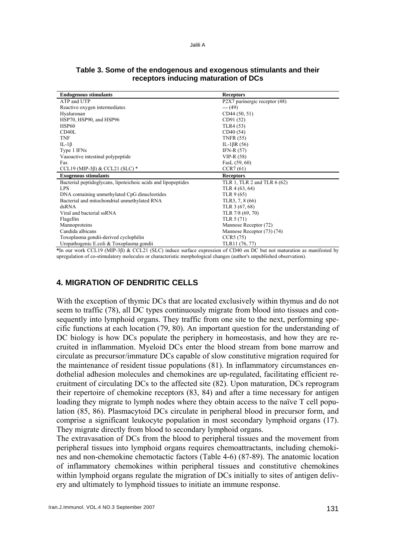| <b>Endogenous stimulants</b>                                  | <b>Receptors</b>              |
|---------------------------------------------------------------|-------------------------------|
| ATP and UTP                                                   | P2X7 purinergic receptor (48) |
| Reactive oxygen intermediates                                 | $--(49)$                      |
| Hyaluronan                                                    | CD44(50, 51)                  |
| HSP70, HSP90, and HSP96                                       | CD91 (52)                     |
| <b>HSP60</b>                                                  | TLR4 (53)                     |
| CD <sub>40</sub> L                                            | CD40 (54)                     |
| <b>TNF</b>                                                    | <b>TNFR (55)</b>              |
| IL-1 $\beta$                                                  | IL-1 $\beta$ R (56)           |
| Type 1 IFNs                                                   | IFN-R $(57)$                  |
| Vasoactive intestinal polypeptide                             | $VIP-R(58)$                   |
| Fas                                                           | FasL $(59, 60)$               |
| CCL19 (MIP-3 $\beta$ ) & CCL21 (SLC) *                        | CCR7(61)                      |
| <b>Exogenous stimulants</b>                                   | <b>Receptors</b>              |
| Bacterial peptidoglycans, lipoteichoic acids and lipopeptides | TLR 1, TLR 2 and TLR 6 (62)   |
| <b>LPS</b>                                                    | TLR 4 (63, 64)                |
| DNA containing unmethylated CpG dinucleotides                 | TLR $9(65)$                   |
| Bacterial and mitochondrial unmethylated RNA                  | TLR3, 7, 8 (66)               |
| dsRNA                                                         | TLR 3 (67, 68)                |
| Viral and bacterial ssRNA                                     | TLR 7/8 (69, 70)              |
| Flagellin                                                     | TLR 5 (71)                    |
| Mannoproteins                                                 | Mannose Receptor (72)         |
| Candida albicans                                              | Mannose Receptor (73) (74)    |
| Toxoplasma gondii-derived cyclophilin                         | CCR5(75)                      |
| Uropathogenic E.coli & Toxoplasma gondii                      | TLR11 (76, 77)                |

### **Table 3. Some of the endogenous and exogenous stimulants and their receptors inducing maturation of DCs**

**\***In our work CCL19 (MIP-3β) & CCL21 (SLC) induce surface expression of CD40 on DC but not maturation as manifested by upregulation of co-stimulatory molecules or characteristic morphological changes (author's unpublished observation).

# **4. MIGRATION OF DENDRITIC CELLS**

With the exception of thymic DCs that are located exclusively within thymus and do not seem to traffic (78), all DC types continuously migrate from blood into tissues and consequently into lymphoid organs. They traffic from one site to the next, performing specific functions at each location (79, 80). An important question for the understanding of DC biology is how DCs populate the periphery in homeostasis, and how they are recruited in inflammation. Myeloid DCs enter the blood stream from bone marrow and circulate as precursor/immature DCs capable of slow constitutive migration required for the maintenance of resident tissue populations (81). In inflammatory circumstances endothelial adhesion molecules and chemokines are up-regulated, facilitating efficient recruitment of circulating DCs to the affected site (82). Upon maturation, DCs reprogram their repertoire of chemokine receptors (83, 84) and after a time necessary for antigen loading they migrate to lymph nodes where they obtain access to the naïve T cell population (85, 86). Plasmacytoid DCs circulate in peripheral blood in precursor form, and comprise a significant leukocyte population in most secondary lymphoid organs (17). They migrate directly from blood to secondary lymphoid organs.

The extravasation of DCs from the blood to peripheral tissues and the movement from peripheral tissues into lymphoid organs requires chemoattractants, including chemokines and non-chemokine chemotactic factors (Table 4-6) (87-89). The anatomic location of inflammatory chemokines within peripheral tissues and constitutive chemokines within lymphoid organs regulate the migration of DCs initially to sites of antigen delivery and ultimately to lymphoid tissues to initiate an immune response.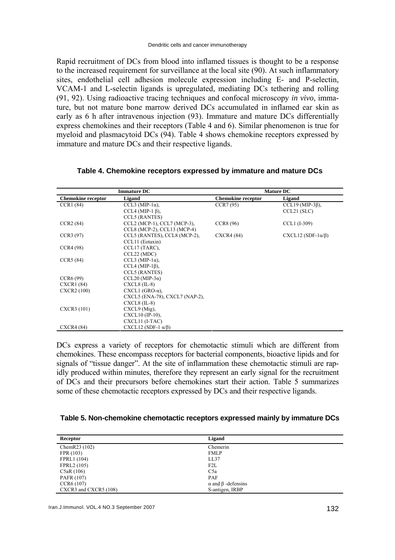Rapid recruitment of DCs from blood into inflamed tissues is thought to be a response to the increased requirement for surveillance at the local site (90). At such inflammatory sites, endothelial cell adhesion molecule expression including E- and P-selectin, VCAM-1 and L-selectin ligands is upregulated, mediating DCs tethering and rolling (91, 92). Using radioactive tracing techniques and confocal microscopy *in vivo*, immature, but not mature bone marrow derived DCs accumulated in inflamed ear skin as early as 6 h after intravenous injection (93). Immature and mature DCs differentially express chemokines and their receptors (Table 4 and 6). Similar phenomenon is true for myeloid and plasmacytoid DCs (94). Table 4 shows chemokine receptors expressed by immature and mature DCs and their respective ligands.

|                           | <b>Immature DC</b>                 |                           | <b>Mature DC</b>            |
|---------------------------|------------------------------------|---------------------------|-----------------------------|
| <b>Chemokine</b> receptor | Ligand                             | <b>Chemokine receptor</b> | Ligand                      |
| CCR1(84)                  | CCL3 (MIP-1 $\alpha$ ),            | CCR7(95)                  | CCL19 (MIP-3 $\beta$ ),     |
|                           | CCL4 (MIP-1 $\beta$ ),             |                           | CCL21(SLC)                  |
|                           | <b>CCL5 (RANTES)</b>               |                           |                             |
| CCR2(84)                  | CCL2 (MCP-1), CCL7 (MCP-3),        | <b>CCR8 (96)</b>          | CCL1 (I-309)                |
|                           | CCL8 (MCP-2), CCL13 (MCP-4)        |                           |                             |
| CCR3(97)                  | CCL5 (RANTES), CCL8 (MCP-2),       | CXCR4(84)                 | $CXCL12(SDF-1\alpha/\beta)$ |
|                           | CCL11 (Eotaxin)                    |                           |                             |
| CCR4(98)                  | CCL17 (TARC),                      |                           |                             |
|                           | CCL22 (MDC)                        |                           |                             |
| CCR5(84)                  | CCL3 (MIP-1 $\alpha$ ),            |                           |                             |
|                           | CCL4 (MIP-1 $\beta$ ).             |                           |                             |
|                           | <b>CCL5 (RANTES)</b>               |                           |                             |
| CCR6(99)                  | CCL20 (MIP-3 $\alpha$ )            |                           |                             |
| CXCR1 (84)                | $CXCL8$ (IL-8)                     |                           |                             |
| <b>CXCR2</b> (100)        | $CXCL1$ (GRO- $\alpha$ ),          |                           |                             |
|                           | CXCL5 (ENA-78), CXCL7 (NAP-2),     |                           |                             |
|                           | $CXCL8$ (IL-8)                     |                           |                             |
| CXCR3 (101)               | $CXCL9$ (Mig),                     |                           |                             |
|                           | CXCL10 (IP-10),                    |                           |                             |
|                           | CXCL11 (I-TAC)                     |                           |                             |
| CXCR4 (84)                | CXCL12 (SDF-1 $\alpha$ / $\beta$ ) |                           |                             |

# **Table 4. Chemokine receptors expressed by immature and mature DCs**

DCs express a variety of receptors for chemotactic stimuli which are different from chemokines. These encompass receptors for bacterial components, bioactive lipids and for signals of "tissue danger". At the site of inflammation these chemotactic stimuli are rapidly produced within minutes, therefore they represent an early signal for the recruitment of DCs and their precursors before chemokines start their action. Table 5 summarizes some of these chemotactic receptors expressed by DCs and their respective ligands.

#### **Table 5. Non-chemokine chemotactic receptors expressed mainly by immature DCs**

| Receptor              | Ligand                          |  |
|-----------------------|---------------------------------|--|
| ChemR23 (102)         | Chemerin                        |  |
| FPR (103)             | <b>FMLP</b>                     |  |
| FPRL1 (104)           | LL37                            |  |
| FPRL2 (105)           | F2L                             |  |
| C5aR(106)             | C <sub>5</sub> a                |  |
| PAFR (107)            | <b>PAF</b>                      |  |
| CCR6(107)             | $\alpha$ and $\beta$ -defensins |  |
| CXCR3 and CXCR5 (108) | S-antigen, IRBP                 |  |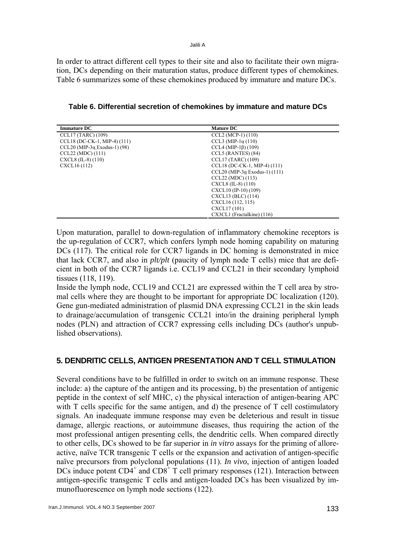In order to attract different cell types to their site and also to facilitate their own migration, DCs depending on their maturation status, produce different types of chemokines. Table 6 summarizes some of these chemokines produced by immature and mature DCs.

| <b>Immature DC</b>                     | <b>Mature DC</b>                      |
|----------------------------------------|---------------------------------------|
| $CCL17$ (TARC) (109)                   | CCL2 (MCP-1) (110)                    |
| CCL18 (DC-CK-1, MIP-4) (111)           | CCL3 (MIP-1 $\alpha$ (110)            |
| $CCL20$ (MIP-3 $\alpha$ Exodus-1) (98) | $CCL4$ (MIP-1 $\beta$ ) (109)         |
| CCL22 (MDC) (111)                      | CCL5 (RANTES) (84)                    |
| $CXCL8$ (IL-8) (110)                   | CCL17 (TARC) (109)                    |
| CXCL16 (112)                           | CCL18 (DC-CK-1, MIP-4) (111)          |
|                                        | CCL20 (MIP-3 $\alpha$ Exodus-1) (111) |
|                                        | CCL22 (MDC) (113)                     |
|                                        | $CXCL8$ (IL-8) (110)                  |
|                                        | CXCL10 (IP-10) (109)                  |
|                                        | CXCL13 (BLC) (114)                    |
|                                        | CXCL16 (112, 115)                     |
|                                        | CXCL17 (101)                          |
|                                        | CX3CL1 (Fractalkine) (116)            |

**Table 6. Differential secretion of chemokines by immature and mature DCs** 

Upon maturation, parallel to down-regulation of inflammatory chemokine receptors is the up-regulation of CCR7, which confers lymph node homing capability on maturing DCs (117). The critical role for CCR7 ligands in DC homing is demonstrated in mice that lack CCR7, and also in *plt/plt* (paucity of lymph node T cells) mice that are deficient in both of the CCR7 ligands i.e. CCL19 and CCL21 in their secondary lymphoid tissues (118, 119).

Inside the lymph node, CCL19 and CCL21 are expressed within the T cell area by stromal cells where they are thought to be important for appropriate DC localization (120). Gene gun-mediated administration of plasmid DNA expressing CCL21 in the skin leads to drainage/accumulation of transgenic CCL21 into/in the draining peripheral lymph nodes (PLN) and attraction of CCR7 expressing cells including DCs (author's unpublished observations).

# **5. DENDRITIC CELLS, ANTIGEN PRESENTATION AND T CELL STIMULATION**

Several conditions have to be fulfilled in order to switch on an immune response. These include: a) the capture of the antigen and its processing, b) the presentation of antigenic peptide in the context of self MHC, c) the physical interaction of antigen-bearing APC with T cells specific for the same antigen, and d) the presence of T cell costimulatory signals. An inadequate immune response may even be deleterious and result in tissue damage, allergic reactions, or autoimmune diseases, thus requiring the action of the most professional antigen presenting cells, the dendritic cells. When compared directly to other cells, DCs showed to be far superior in *in vitro* assays for the priming of alloreactive, naïve TCR transgenic T cells or the expansion and activation of antigen-specific naïve precursors from polyclonal populations (11). *In vivo*, injection of antigen loaded DCs induce potent  $CD4^+$  and  $CD8^+$  T cell primary responses (121). Interaction between antigen-specific transgenic T cells and antigen-loaded DCs has been visualized by immunofluorescence on lymph node sections (122).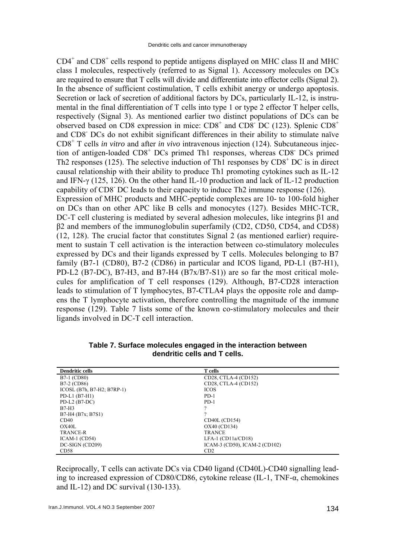CD4<sup>+</sup> and CD8<sup>+</sup> cells respond to peptide antigens displayed on MHC class II and MHC class I molecules, respectively (referred to as Signal 1). Accessory molecules on DCs are required to ensure that T cells will divide and differentiate into effector cells (Signal 2). In the absence of sufficient costimulation, T cells exhibit anergy or undergo apoptosis. Secretion or lack of secretion of additional factors by DCs, particularly IL-12, is instrumental in the final differentiation of T cells into type 1 or type 2 effector T helper cells, respectively (Signal 3). As mentioned earlier two distinct populations of DCs can be observed based on CD8 expression in mice:  $CD8^+$  and  $CD8^-$  DC (123). Splenic  $CD8^+$ and CD8- DCs do not exhibit significant differences in their ability to stimulate naïve CD8<sup>+</sup> T cells *in vitro* and after *in vivo* intravenous injection (124). Subcutaneous injection of antigen-loaded CD8<sup>+</sup> DCs primed Th1 responses, whereas CD8<sup>-</sup> DCs primed Th2 responses (125). The selective induction of Th1 responses by  $CDS<sup>+</sup> DC$  is in direct causal relationship with their ability to produce Th1 promoting cytokines such as IL-12 and IFN-γ (125, 126). On the other hand IL-10 production and lack of IL-12 production capability of CD8- DC leads to their capacity to induce Th2 immune response (126). Expression of MHC products and MHC-peptide complexes are 10- to 100-fold higher on DCs than on other APC like B cells and monocytes (127). Besides MHC-TCR, DC-T cell clustering is mediated by several adhesion molecules, like integrins β1 and β2 and members of the immunoglobulin superfamily (CD2, CD50, CD54, and CD58) (12, 128). The crucial factor that constitutes Signal 2 (as mentioned earlier) requirement to sustain T cell activation is the interaction between co-stimulatory molecules expressed by DCs and their ligands expressed by T cells. Molecules belonging to B7 family (B7-1 (CD80), B7-2 (CD86) in particular and ICOS ligand, PD-L1 (B7-H1), PD-L2 (B7-DC), B7-H3, and B7-H4 (B7x/B7-S1)) are so far the most critical molecules for amplification of T cell responses (129). Although, B7-CD28 interaction leads to stimulation of T lymphocytes, B7-CTLA4 plays the opposite role and dampens the T lymphocyte activation, therefore controlling the magnitude of the immune response (129). Table 7 lists some of the known co-stimulatory molecules and their ligands involved in DC-T cell interaction.

| <b>Dendritic cells</b>       | <b>T</b> cells                |
|------------------------------|-------------------------------|
| B7-1 (CD80)                  | CD28, CTLA-4 (CD152)          |
| B7-2 (CD86)                  | CD28, CTLA-4 (CD152)          |
| ICOSL $(B7h, B7-H2, B7RP-1)$ | <b>ICOS</b>                   |
| PD-L1 $(B7-H1)$              | $PD-1$                        |
| PD-L2 $(B7-DC)$              | $PD-1$                        |
| $B7-H3$                      |                               |
| B7-H4 (B7x; B7S1)            | റ                             |
| CD40                         | CD40L (CD154)                 |
| OX40L                        | OX40 (CD134)                  |
| <b>TRANCE-R</b>              | <b>TRANCE</b>                 |
| $ICAM-1 (CD54)$              | $LFA-1 (CD11a/CD18)$          |
| DC-SIGN (CD209)              | ICAM-3 (CD50), ICAM-2 (CD102) |
| CD58                         | CD2                           |

**Table 7. Surface molecules engaged in the interaction between dendritic cells and T cells.** 

Reciprocally, T cells can activate DCs via CD40 ligand (CD40L)-CD40 signalling leading to increased expression of CD80/CD86, cytokine release (IL-1, TNF-α, chemokines and IL-12) and DC survival (130-133).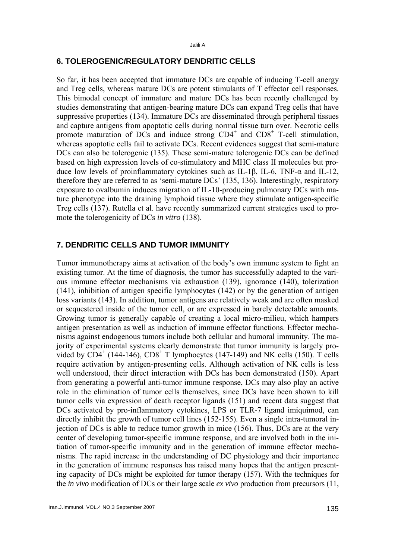# **6. TOLEROGENIC/REGULATORY DENDRITIC CELLS**

So far, it has been accepted that immature DCs are capable of inducing T-cell anergy and Treg cells, whereas mature DCs are potent stimulants of T effector cell responses. This bimodal concept of immature and mature DCs has been recently challenged by studies demonstrating that antigen-bearing mature DCs can expand Treg cells that have suppressive properties (134). Immature DCs are disseminated through peripheral tissues and capture antigens from apoptotic cells during normal tissue turn over. Necrotic cells promote maturation of DCs and induce strong  $CD4^+$  and  $CD8^+$  T-cell stimulation, whereas apoptotic cells fail to activate DCs. Recent evidences suggest that semi-mature DCs can also be tolerogenic (135). These semi-mature tolerogenic DCs can be defined based on high expression levels of co-stimulatory and MHC class II molecules but produce low levels of proinflammatory cytokines such as IL-1β, IL-6, TNF-α and IL-12, therefore they are referred to as 'semi-mature DCs' (135, 136). Interestingly, respiratory exposure to ovalbumin induces migration of IL-10-producing pulmonary DCs with mature phenotype into the draining lymphoid tissue where they stimulate antigen-specific Treg cells (137). Rutella et al. have recently summarized current strategies used to promote the tolerogenicity of DCs *in vitro* (138).

### **7. DENDRITIC CELLS AND TUMOR IMMUNITY**

Tumor immunotherapy aims at activation of the body's own immune system to fight an existing tumor. At the time of diagnosis, the tumor has successfully adapted to the various immune effector mechanisms via exhaustion (139), ignorance (140), tolerization (141), inhibition of antigen specific lymphocytes (142) or by the generation of antigen loss variants (143). In addition, tumor antigens are relatively weak and are often masked or sequestered inside of the tumor cell, or are expressed in barely detectable amounts. Growing tumor is generally capable of creating a local micro-milieu, which hampers antigen presentation as well as induction of immune effector functions. Effector mechanisms against endogenous tumors include both cellular and humoral immunity. The majority of experimental systems clearly demonstrate that tumor immunity is largely provided by  $CD4^+$  (144-146),  $CD8^+$  T lymphocytes (147-149) and NK cells (150). T cells require activation by antigen-presenting cells. Although activation of NK cells is less well understood, their direct interaction with DCs has been demonstrated (150). Apart from generating a powerful anti-tumor immune response, DCs may also play an active role in the elimination of tumor cells themselves, since DCs have been shown to kill tumor cells via expression of death receptor ligands (151) and recent data suggest that DCs activated by pro-inflammatory cytokines, LPS or TLR-7 ligand imiquimod, can directly inhibit the growth of tumor cell lines (152-155). Even a single intra-tumoral injection of DCs is able to reduce tumor growth in mice (156). Thus, DCs are at the very center of developing tumor-specific immune response, and are involved both in the initiation of tumor-specific immunity and in the generation of immune effector mechanisms. The rapid increase in the understanding of DC physiology and their importance in the generation of immune responses has raised many hopes that the antigen presenting capacity of DCs might be exploited for tumor therapy (157). With the techniques for the *in vivo* modification of DCs or their large scale *ex vivo* production from precursors (11,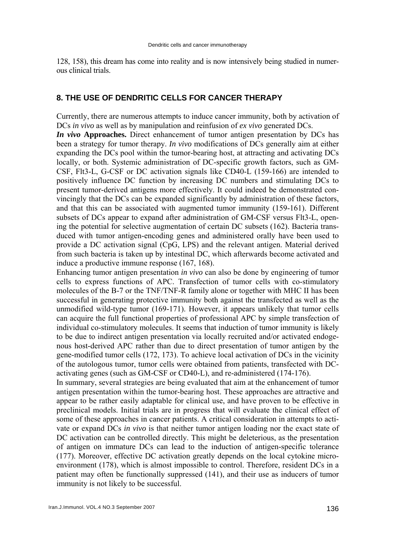128, 158), this dream has come into reality and is now intensively being studied in numerous clinical trials.

## **8. THE USE OF DENDRITIC CELLS FOR CANCER THERAPY**

Currently, there are numerous attempts to induce cancer immunity, both by activation of DCs *in vivo* as well as by manipulation and reinfusion of *ex vivo* generated DCs.

*In vivo* **Approaches.** Direct enhancement of tumor antigen presentation by DCs has been a strategy for tumor therapy. *In vivo* modifications of DCs generally aim at either expanding the DCs pool within the tumor-bearing host, at attracting and activating DCs locally, or both. Systemic administration of DC-specific growth factors, such as GM-CSF, Flt3-L, G-CSF or DC activation signals like CD40-L (159-166) are intended to positively influence DC function by increasing DC numbers and stimulating DCs to present tumor-derived antigens more effectively. It could indeed be demonstrated convincingly that the DCs can be expanded significantly by administration of these factors, and that this can be associated with augmented tumor immunity (159-161). Different subsets of DCs appear to expand after administration of GM-CSF versus Flt3-L, opening the potential for selective augmentation of certain DC subsets (162). Bacteria transduced with tumor antigen-encoding genes and administered orally have been used to provide a DC activation signal (CpG, LPS) and the relevant antigen. Material derived from such bacteria is taken up by intestinal DC, which afterwards become activated and induce a productive immune response (167, 168).

Enhancing tumor antigen presentation *in vivo* can also be done by engineering of tumor cells to express functions of APC. Transfection of tumor cells with co-stimulatory molecules of the B-7 or the TNF/TNF-R family alone or together with MHC II has been successful in generating protective immunity both against the transfected as well as the unmodified wild-type tumor (169-171). However, it appears unlikely that tumor cells can acquire the full functional properties of professional APC by simple transfection of individual co-stimulatory molecules. It seems that induction of tumor immunity is likely to be due to indirect antigen presentation via locally recruited and/or activated endogenous host-derived APC rather than due to direct presentation of tumor antigen by the gene-modified tumor cells (172, 173). To achieve local activation of DCs in the vicinity of the autologous tumor, tumor cells were obtained from patients, transfected with DCactivating genes (such as GM-CSF or CD40-L), and re-administered (174-176).

In summary, several strategies are being evaluated that aim at the enhancement of tumor antigen presentation within the tumor-bearing host. These approaches are attractive and appear to be rather easily adaptable for clinical use, and have proven to be effective in preclinical models. Initial trials are in progress that will evaluate the clinical effect of some of these approaches in cancer patients. A critical consideration in attempts to activate or expand DCs *in vivo* is that neither tumor antigen loading nor the exact state of DC activation can be controlled directly. This might be deleterious, as the presentation of antigen on immature DCs can lead to the induction of antigen-specific tolerance (177). Moreover, effective DC activation greatly depends on the local cytokine microenvironment (178), which is almost impossible to control. Therefore, resident DCs in a patient may often be functionally suppressed (141), and their use as inducers of tumor immunity is not likely to be successful.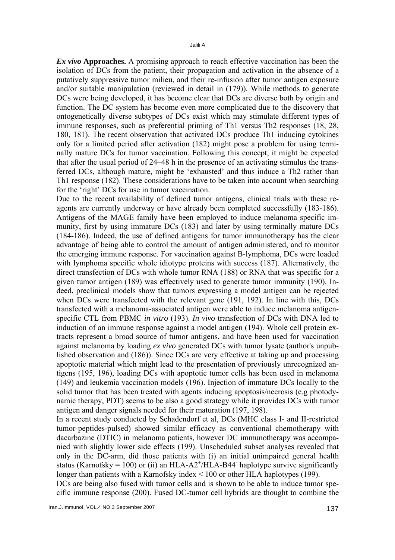*Ex vivo* **Approaches.** A promising approach to reach effective vaccination has been the isolation of DCs from the patient, their propagation and activation in the absence of a putatively suppressive tumor milieu, and their re-infusion after tumor antigen exposure and/or suitable manipulation (reviewed in detail in (179)). While methods to generate DCs were being developed, it has become clear that DCs are diverse both by origin and function. The DC system has become even more complicated due to the discovery that ontogenetically diverse subtypes of DCs exist which may stimulate different types of immune responses, such as preferential priming of Th1 versus Th2 responses (18, 28, 180, 181). The recent observation that activated DCs produce Th1 inducing cytokines only for a limited period after activation (182) might pose a problem for using terminally mature DCs for tumor vaccination. Following this concept, it might be expected that after the usual period of 24–48 h in the presence of an activating stimulus the transferred DCs, although mature, might be 'exhausted' and thus induce a Th2 rather than Th1 response (182). These considerations have to be taken into account when searching for the 'right' DCs for use in tumor vaccination.

Due to the recent availability of defined tumor antigens, clinical trials with these reagents are currently underway or have already been completed successfully (183-186). Antigens of the MAGE family have been employed to induce melanoma specific immunity, first by using immature DCs (183) and later by using terminally mature DCs (184-186). Indeed, the use of defined antigens for tumor immunotherapy has the clear advantage of being able to control the amount of antigen administered, and to monitor the emerging immune response. For vaccination against B-lymphoma, DCs were loaded with lymphoma specific whole idiotype proteins with success (187). Alternatively, the direct transfection of DCs with whole tumor RNA (188) or RNA that was specific for a given tumor antigen (189) was effectively used to generate tumor immunity (190). Indeed, preclinical models show that tumors expressing a model antigen can be rejected when DCs were transfected with the relevant gene (191, 192). In line with this, DCs transfected with a melanoma-associated antigen were able to induce melanoma antigenspecific CTL from PBMC *in vitro* (193). *In vivo* transfection of DCs with DNA led to induction of an immune response against a model antigen (194). Whole cell protein extracts represent a broad source of tumor antigens, and have been used for vaccination against melanoma by loading *ex vivo* generated DCs with tumor lysate (author's unpublished observation and (186)). Since DCs are very effective at taking up and processing apoptotic material which might lead to the presentation of previously unrecognized antigens (195, 196), loading DCs with apoptotic tumor cells has been used in melanoma (149) and leukemia vaccination models (196). Injection of immature DCs locally to the solid tumor that has been treated with agents inducing apoptosis/necrosis (e.g photodynamic therapy, PDT) seems to be also a good strategy while it provides DCs with tumor antigen and danger signals needed for their maturation (197, 198).

In a recent study conducted by Schadendorf et al, DCs (MHC class I- and II-restricted tumor-peptides-pulsed) showed similar efficacy as conventional chemotherapy with dacarbazine (DTIC) in melanoma patients, however DC immunotherapy was accompanied with slightly lower side effects (199). Unscheduled subset analyses revealed that only in the DC-arm, did those patients with (i) an initial unimpaired general health status (Karnofsky = 100) or (ii) an HLA-A2<sup>+</sup>/HLA-B44<sup>-</sup> haplotype survive significantly longer than patients with a Karnofsky index < 100 or other HLA haplotypes (199).

DCs are being also fused with tumor cells and is shown to be able to induce tumor specific immune response (200). Fused DC-tumor cell hybrids are thought to combine the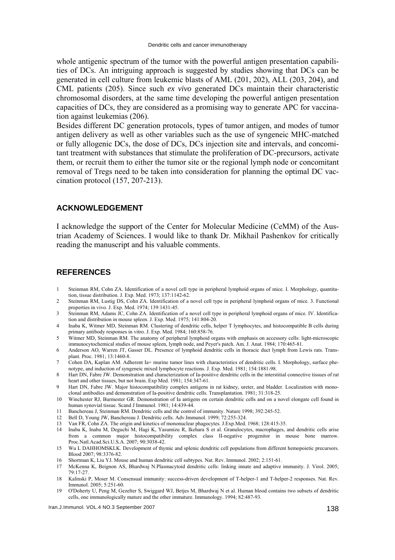whole antigenic spectrum of the tumor with the powerful antigen presentation capabilities of DCs. An intriguing approach is suggested by studies showing that DCs can be generated in cell culture from leukemic blasts of AML (201, 202), ALL (203, 204), and CML patients (205). Since such *ex vivo* generated DCs maintain their characteristic chromosomal disorders, at the same time developing the powerful antigen presentation capacities of DCs, they are considered as a promising way to generate APC for vaccination against leukemias (206).

Besides different DC generation protocols, types of tumor antigen, and modes of tumor antigen delivery as well as other variables such as the use of syngeneic MHC-matched or fully allogenic DCs, the dose of DCs, DCs injection site and intervals, and concomitant treatment with substances that stimulate the proliferation of DC-precursors, activate them, or recruit them to either the tumor site or the regional lymph node or concomitant removal of Tregs need to be taken into consideration for planning the optimal DC vaccination protocol (157, 207-213).

### **ACKNOWLEDGEMENT**

I acknowledge the support of the Center for Molecular Medicine (CeMM) of the Austrian Academy of Sciences. I would like to thank Dr. Mikhail Pashenkov for critically reading the manuscript and his valuable comments.

### **REFERENCES**

- 1 Steinman RM, Cohn ZA. Identification of a novel cell type in peripheral lymphoid organs of mice. I. Morphology, quantitation, tissue distribution. J. Exp. Med. 1973; 137:1142-62.
- 2 Steinman RM, Lustig DS, Cohn ZA. Identification of a novel cell type in peripheral lymphoid organs of mice. 3. Functional properties in vivo. J. Exp. Med. 1974; 139:1431-45.
- 3 Steinman RM, Adams JC, Cohn ZA. Identification of a novel cell type in peripheral lymphoid organs of mice. IV. Identification and distribution in mouse spleen. J. Exp. Med. 1975; 141:804-20.
- 4 Inaba K, Witmer MD, Steinman RM. Clustering of dendritic cells, helper T lymphocytes, and histocompatible B cells during primary antibody responses in vitro. J. Exp. Med. 1984; 160:858-76.
- 5 Witmer MD, Steinman RM. The anatomy of peripheral lymphoid organs with emphasis on accessory cells: light-microscopic immunocytochemical studies of mouse spleen, lymph node, and Peyer's patch. Am. J. Anat. 1984; 170:465-81.
- 6 Anderson AO, Warren JT, Gasser DL. Presence of lymphoid dendritic cells in thoracic duct lymph from Lewis rats. Transplant. Proc. 1981; 13:1460-8.
- 7 Cohen DA, Kaplan AM. Adherent Ia+ murine tumor lines with characteristics of dendritic cells. I. Morphology, surface phenotype, and induction of syngeneic mixed lymphocyte reactions. J. Exp. Med. 1981; 154:1881-98.
- 8 Hart DN, Fabre JW. Demonstration and characterization of Ia-positive dendritic cells in the interstitial connective tissues of rat heart and other tissues, but not brain. Exp Med. 1981; 154:347-61.
- 9 Hart DN, Fabre JW. Major histocompatibility complex antigens in rat kidney, ureter, and bladder. Localization with monoclonal antibodies and demonstration of Ia-positive dendritic cells. Transplantation. 1981; 31:318-25.
- 10 Winchester RJ, Burmester GR. Demonstration of Ia antigens on certain dendritic cells and on a novel elongate cell found in human synovial tissue. Scand J Immunol. 1981; 14:439-44.
- 11 Banchereau J, Steinman RM. Dendritic cells and the control of immunity. Nature 1998; 392:245-52.
- 12 Bell D, Young JW, Banchereau J. Dendritic cells. Adv.Immunol. 1999; 72:255-324.
- 13 Van FR, Cohn ZA. The origin and kinetics of mononuclear phagocytes. J.Exp.Med. 1968; 128:415-35.
- 14 Inaba K, Inaba M, Deguchi M, Hagi K, Yasumizu R, Ikehara S et al. Granulocytes, macrophages, and dendritic cells arise from a common major histocompatibility complex class II-negative progenitor in mouse bone marrow. Proc.Natl.Acad.Sci.U.S.A. 2007; 90:3038-42.
- 15 Wu L DAHHOMSKLK. Development of thymic and splenic dendritic cell populations from different hemopoietic precursors. Blood 2007; 98:3376-82.
- 16 Shortman K, Liu YJ. Mouse and human dendritic cell subtypes. Nat. Rev. Immunol. 2002; 2:151-61.
- 17 McKenna K, Beignon AS, Bhardwaj N.Plasmacytoid dendritic cells: linking innate and adaptive immunity. J. Virol. 2005; 79:17-27.
- 18 Kalinski P, Moser M. Consensual immunity: success-driven development of T-helper-1 and T-helper-2 responses. Nat. Rev. Immunol. 2005; 5:251-60.
- 19 O'Doherty U, Peng M, Gezelter S, Swiggard WJ, Betjes M, Bhardwaj N et al. Human blood contains two subsets of dendritic cells, one immunologically mature and the other immature. Immunology. 1994; 82:487-93.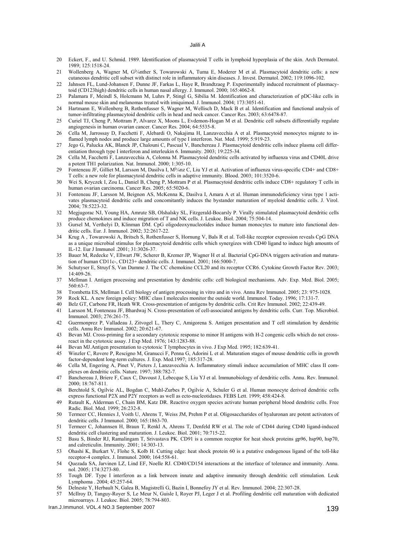- 20 Eckert, F., and U. Schmid. 1989. Identification of plasmacytoid T cells in lymphoid hyperplasia of the skin. Arch Dermatol. 1989; 125:1518-24.
- 21 Wollenberg A, Wagner M, Gأ1/4nther S, Towarowski A, Tuma E, Moderer M et al. Plasmacytoid dendritic cells: a new cutaneous dendritic cell subset with distinct role in inflammatory skin diseases. J. Invest. Dermatol. 2002; 119:1096-102.
- 22 Jahnsen FL, Lund-Johansen F, Dunne JF, Farkas L, Haye R, Brandtzaeg P. Experimentally induced recruitment of plasmacytoid (CD123high) dendritic cells in human nasal allergy. J. Immunol. 2000; 165:4062-8.
- 23 Palamara F, Meindl S, Holcmann M, Luhrs P, Stingl G, Sibilia M. Identification and characterization of pDC-like cells in normal mouse skin and melanomas treated with imiquimod. J. Immunol. 2004; 173:3051-61.
- 24 Hartmann E, Wollenberg B, Rothenfusser S, Wagner M, Wellisch D, Mack B et al. Identification and functional analysis of tumor-infiltrating plasmacytoid dendritic cells in head and neck cancer. Cancer Res. 2003; 63:6478-87.
- 25 Curiel TJ, Cheng P, Mottram P, Alvarez X, Moons L, Evdemon-Hogan M et al. Dendritic cell subsets differentially regulate angiogenesis in human ovarian cancer. Cancer Res. 2004; 64:5535-8.
- 26 Cella M, Jarrossay D, Facchetti F, Alebardi O, Nakajima H, Lanzavecchia A et al. Plasmacytoid monocytes migrate to inflamed lymph nodes and produce large amounts of type I interferon. Nat. Med. 1999; 5:919-23.
- 27 Jego G, Palucka AK, Blanck JP, Chalouni C, Pascual V, Banchereau J. Plasmacytoid dendritic cells induce plasma cell differentiation through type I interferon and interleukin 6. Immunity. 2003; 19:225-34.
- 28 Cella M, Facchetti F, Lanzavecchia A, Colonna M. Plasmacytoid dendritic cells activated by influenza virus and CD40L drive a potent TH1 polarization. Nat. Immunol. 2000; 1:305-10.
- 29 Fonteneau JF, Gilliet M, Larsson M, Dasilva I, M<sup>1</sup>/<sub>4</sub>nz C, Liu YJ et al. Activation of influenza virus-specific CD4+ and CD8+ T cells: a new role for plasmacytoid dendritic cells in adaptive immunity. Blood. 2003; 101:3520-6.
- 30 Wei S, Kryczek I, Zou L, Daniel B, Cheng P, Mottram P et al. Plasmacytoid dendritic cells induce CD8+ regulatory T cells in human ovarian carcinoma. Cancer Res. 2005; 65:5020-6.
- 31 Fonteneau JF, Larsson M, Beignon AS, McKenna K, Dasilva I, Amara A et al. Human immunodeficiency virus type 1 activates plasmacytoid dendritic cells and concomitantly induces the bystander maturation of myeloid dendritic cells. J. Virol. 2004; 78:5223-32.
- 32 Megjugorac NJ, Young HA, Amrute SB, Olshalsky SL, Fitzgerald-Bocarsly P. Virally stimulated plasmacytoid dendritic cells produce chemokines and induce migration of T and NK cells. J. Leukoc. Biol. 2004; 75:504-14.
- 33 Gursel M, Verthelyi D, Klinman DM. CpG oligodeoxynucleotides induce human monocytes to mature into functional dendritic cells. Eur. J. Immunol. 2002; 32:2617-22.
- 34 Krug A , Towarowski A, Britsch S, Rothenfusser S, Hornung V, Bals R et al. Toll-like receptor expression reveals CpG DNA as a unique microbial stimulus for plasmacytoid dendritic cells which synergizes with CD40 ligand to induce high amounts of IL-12. Eur J Immunol .2001; 31:3026-37.
- 35 Bauer M, Redecke V, Ellwart JW, Scherer B, Kremer JP, Wagner H et al. Bacterial CpG-DNA triggers activation and maturation of human CD11c-, CD123+ dendritic cells. J. Immunol. 2001; 166:5000-7.
- 36 Schutyser E, Struyf S, Van Damme J. The CC chemokine CCL20 and its receptor CCR6. Cytokine Growth Factor Rev. 2003; 14:409-26.
- 37 Mellman I. Antigen processing and presentation by dendritic cells: cell biological mechanisms. Adv. Exp. Med. Biol. 2005; 560:63-7.
- 38 Trombetta ES, Mellman I. Cell biology of antigen processing in vitro and in vivo. Annu Rev Immunol. 2005; 23: 975-1028.
- 39 Rock KL. A new foreign policy: MHC class I molecules monitor the outside world. Immunol. Today. 1996; 17:131-7.
- 40 Belz GT, Carbone FR, Heath WR. Cross-presentation of antigens by dendritic cells. Crit Rev Immunol. 2002; 22:439-49.
- 41 Larsson M, Fonteneau JF, Bhardwaj N. Cross-presentation of cell-associated antigens by dendritic cells. Curr. Top. Microbiol. Immunol. 2003; 276:261-75.
- 42 Guermonprez P, Valladeau J, Zitvogel L, Thery C, Amigorena S. Antigen presentation and T cell stimulation by dendritic cells. Annu Rev Immunol. 2002; 20:621-67.
- 43 Bevan MJ. Cross-priming for a secondary cytotoxic response to minor H antigens with H-2 congenic cells which do not crossreact in the cytotoxic assay. J Exp Med. 1976; 143:1283-88.
- 44 Bevan MJ.Antigen presentation to cytotoxic T lymphocytes in vivo. J Exp Med. 1995; 182:639-41.
- 45 Winzler C, Rovere P, Rescigno M, Granucci F, Penna G, Adorini L et al. Maturation stages of mouse dendritic cells in growth factor-dependent long-term cultures. J. Exp. Med.1997; 185:317-28.
- 46 Cella M, Engering A, Pinet V, Pieters J, Lanzavecchia A. Inflammatory stimuli induce accumulation of MHC class II complexes on dendritic cells. Nature. 1997; 388:782-7.
- 47 Banchereau J, Briere F, Caux C, Davoust J, Lebecque S, Liu YJ et al. Immunobiology of dendritic cells. Annu. Rev. Immunol. 2000; 18:767-811.
- 48 Berchtold S, Ogilvie AL, Bogdan C, [Muhl-Zurbes P,](http://www.ncbi.nlm.nih.gov/sites/entrez?Db=pubmed&Cmd=Search&Term=%22M%C3%BChl-Z%C3%BCrbes%20P%22%5BAuthor%5D&itool=EntrezSystem2.PEntrez.Pubmed.Pubmed_ResultsPanel.Pubmed_RVAbstractPlus) Ogilvie A, Schuler G et al. Human monocyte derived dendritic cells express functional P2X and P2Y receptors as well as ecto-nucleotidases. FEBS Lett. 1999; 458:424-8.
- 49 Rutault K, Alderman C, Chain BM, Katz DR. Reactive oxygen species activate human peripheral blood dendritic cells. Free Radic. Biol. Med. 1999; 26:232-8.
- 50 Termeer CC, Hennies J, Voith U, Ahrens T, Weiss JM, Prehm P et al. Oligosaccharides of hyaluronan are potent activators of dendritic cells. J Immunol. 2000; 165:1863-70.
- 51 Termeer C, Johannsen H, Braun T, Renkl A, Ahrens T, Denfeld RW et al. The role of CD44 during CD40 ligand-induced dendritic cell clustering and maturation. J. Leukoc. Biol. 2001; 70:715-22.
- 52 Basu S, Binder RJ, Ramalingam T, Srivastava PK. CD91 is a common receptor for heat shock proteins gp96, hsp90, hsp70, and calreticulin. Immunity. 2001; 14:303-13.
- 53 Ohashi K, Burkart V, Flohe S, Kolb H. Cutting edge: heat shock protein 60 is a putative endogenous ligand of the toll-like receptor-4 complex. J. Immunol. 2000; 164:558-61.
- 54 Quezada SA, Jarvinen LZ, Lind EF, Noelle RJ. CD40/CD154 interactions at the interface of tolerance and immunity. Annu. nol. 2005; 174:3273-80.
- 55 Tough DF. Type I interferon as a link between innate and adaptive immunity through dendritic cell stimulation. Leuk Lymphoma . 2004; 45:257-64.
- 56 Delneste Y, Herbault N, Galea B, Magistrelli G, Bazin I, Bonnefoy JY et al. Rev. Immunol. 2004; 22:307-28.
- 57 McIlroy D, Tanguy-Royer S, Le Meur N, Guisle I, Royer PJ, Leger J et al. Profiling dendritic cell maturation with dedicated microarrays. J. Leukoc. Biol. 2005; 78:794-803.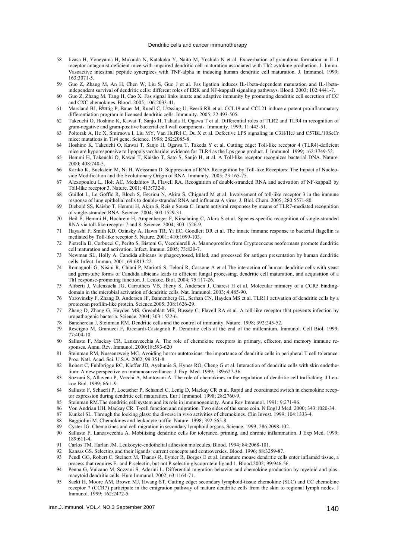#### Dendritic cells and cancer immunotherapy

- 58 Iizasa H, Yoneyama H, Mukaida N, Katakoka Y, Naito M, Yoshida N et al. Exacerbation of granuloma formation in IL-1 receptor antagonist-deficient mice with impaired dendritic cell maturation associated with Th2 cytokine production. J. Immu-Vasoactive intestinal peptide synergizes with TNF-alpha in inducing human dendritic cell maturation. J. Immunol. 1999; 163:3071-5.
- 59 Guo Z, Zhang M, An H, Chen W, Liu S, Guo J et al. Fas ligation induces IL-1beta-dependent maturation and IL-1betaindependent survival of dendritic cells: different roles of ERK and NF-kappaB signaling pathways. Blood. 2003; 102:4441-7.
- 60 Guo Z, Zhang M, Tang H, Cao X. Fas signal links innate and adaptive immunity by promoting dendritic cell secretion of CC and CXC chemokines. Blood. 2005; 106:2033-41.
- 61 Marsland BJ, B<sup>in</sup>ttig P, Bauer M, Ruedl C, L<sup>i</sup>¤ssing U, Beerli RR et al. CCL19 and CCL21 induce a potent proinflammatory differentiation program in licensed dendritic cells. Immunity. 2005; 22:493-505.
- 62 Takeuchi O, Hoshino K, Kawai T, Sanjo H, Takada H, Ogawa T et al. Differential roles of TLR2 and TLR4 in recognition of gram-negative and gram-positive bacterial cell wall components. Immunity. 1999; 11:443-51.
- 63 Poltorak A, He X, Smirnova I, Liu MY, Van Huffel C, Du X et al. Defective LPS signaling in C3H/HeJ and C57BL/10ScCr mice: mutations in Tlr4 gene. Science. 1998; 282:2085-8.
- 64 Hoshino K, Takeuchi O, Kawai T, Sanjo H, Ogawa T, Takeda Y et al. Cutting edge: Toll-like receptor 4 (TLR4)-deficient mice are hyporesponsive to lipopolysaccharide: evidence for TLR4 as the Lps gene product. J. Immunol. 1999; 162:3749-52.
- 65 Hemmi H, Takeuchi O, Kawai T, Kaisho T, Sato S, Sanjo H, et al. A Toll-like receptor recognizes bacterial DNA. Nature. 2000; 408:740-5.
- 66 Kariko K, Buckstein M, Ni H, Weissman D. Suppression of RNA Recognition by Toll-like Receptors: The Impact of Nucleoside Modification and the Evolutionary Origin of RNA. Immunity. 2005; 23:165-75.
- 67 Alexopoulou L, Holt AC, Medzhitov R, Flavell RA. Recognition of double-stranded RNA and activation of NF-kappaB by Toll-like receptor 3. Nature. 2001; 413:732-8.
- 68 Guillot L, Le Goffic R, Bloch S, Escriou N, Akira S, Chignard M et al. Involvement of toll-like receptor 3 in the immune response of lung epithelial cells to double-stranded RNA and influenza A virus. J. Biol. Chem. 2005; 280:5571-80.
- 69 Diebold SS, Kaisho T, Hemmi H, Akira S, Reis e Sousa C. Innate antiviral responses by means of TLR7-mediated recognition of single-stranded RNA. Science. 2004; 303:1529-31.
- 70 Heil F, Hemmi H, Hochrein H, Ampenberger F, Kirschning C, Akira S et al. Species-specific recognition of single-stranded RNA via toll-like receptor 7 and 8. Science. 2004; 303:1526-9.
- 71 Hayashi F, Smith KD, Ozinsky A, Hawn TR, Yi EC, Goodlett DR et al. The innate immune response to bacterial flagellin is mediated by Toll-like receptor 5. Nature. 2001; 410:1099-103.
- 72 Pietrella D, Corbucci C, Perito S, Bistoni G, Vecchiarelli A. Mannoproteins from Cryptococcus neoformans promote dendritic cell maturation and activation. Infect. Immun. 2005; 73:820-7.
- 73 Newman SL, Holly A. Candida albicans is phagocytosed, killed, and processed for antigen presentation by human dendritic cells. Infect. Immun. 2001; 69:6813-22.
- 74 Romagnoli G, Nisini R, Chiani P, Mariotti S, Teloni R, Cassone A et al.The interaction of human dendritic cells with yeast and germ-tube forms of Candida albicans leads to efficient fungal processing, dendritic cell maturation, and acquisition of a Th1 response-promoting function. J. Leukoc. Biol. 2004; 75:117-26.
- 75 Aliberti J, Valenzuela JG, Carruthers VB, Hieny S, Andersen J, Charest H et al. Molecular mimicry of a CCR5 bindingdomain in the microbial activation of dendritic cells. Nat. Immunol. 2003; 4:485-90.
- 76 Yarovinsky F, Zhang D, Andersen JF, Bannenberg GL, Serhan CN, Hayden MS et al. TLR11 activation of dendritic cells by a protozoan profilin-like protein. Science.2005; 308:1626-29.
- 77 Zhang D, Zhang G, Hayden MS, Greenblatt MB, Bussey C, Flavell RA et al. A toll-like receptor that prevents infection by uropathogenic bacteria. Science. 2004; 303:1522-6.
- 78 Banchereau J, Steinman RM. Dendritic cells and the control of immunity. Nature. 1998; 392:245-52.
- 79 Rescigno M, Granucci F, Ricciardi-Castagnoli P. Dendritic cells at the end of the millennium. Immunol. Cell Biol. 1999;  $77:404-10$ .
- 80 Sallusto F, Mackay CR, Lanzavecchia A. The role of chemokine receptors in primary, effector, and memory immune responses. Annu. Rev. Immunol. 2000;18:593-620
- 81 Steinman RM, Nussenzweig MC. Avoiding horror autotoxicus: the importance of dendritic cells in peripheral T cell tolerance. Proc. Natl. Acad. Sci. U.S.A. 2002; 99:351-8.
- 82 Robert C, Fuhlbrigge RC, Kieffer JD, Ayehunie S, Hynes RO, Cheng G et al. Interaction of dendritic cells with skin endothelium: A new perspective on immunosurveillance. J. Exp. Med. 1999; 189:627-36.
- 83 Sozzani S, Allavena P, Vecchi A, Mantovani A. The role of chemokines in the regulation of dendritic cell trafficking. J Leukoc Biol. 1999; 66:1-9.
- 84 Sallusto F, Schaerli P, Loetscher P, Schaniel C, Lenig D, Mackay CR et al. Rapid and coordinated switch in chemokine receptor expression during dendritic cell maturation. Eur J Immunol. 1998; 28:2760-9.
- 85 Steinman RM.The dendritic cell system and its role in immunogenicity. Annu Rev Immunol. 1991; 9:271-96.
- 86 Von Andrian UH, Mackay CR. T-cell function and migration. Two sides of the same coin. N Engl J Med. 2000; 343:1020-34.
- 87 Kunkel SL. Through the looking glass: the diverse in vivo activities of chemokines. Clin Invest. 1999; 104:1333-4.
- 88 Baggiolini M. Chemokines and leukocyte traffic. Nature. 1998; 392:565-8.
- 89 Cyster JG. Chemokines and cell migration in secondary lymphoid organs. Science. 1999; 286:2098-102.
- 90 Sallusto F, Lanzavecchia A. Mobilizing dendritic cells for tolerance, priming, and chronic inflammation. J Exp Med. 1999; 189:611-4.
- 91 Carlos TM, Harlan JM. Leukocyte-endothelial adhesion molecules. Blood. 1994; 84:2068-101.
- 92 Kansas GS. Selectins and their ligands: current concepts and controversies. Blood. 1996; 88:3259-87.
- 93 Pendl GG, Robert C, Steinert M, Thanos R, Eytner R, Borges E et al. Immature mouse dendritic cells enter inflamed tissue, a process that requires E- and P-selectin, but not P-selectin glycoprotein ligand 1. Blood.2002; 99:946-56.
- 94 Penna G, Vulcano M, Sozzani S, Adorini L. Differential migration behavior and chemokine production by myeloid and plasmacytoid dendritic cells. Hum Immunol. 2002; 63:1164-71.
- 95 Saeki H, Moore AM, Brown MJ, Hwang ST. Cutting edge: secondary lymphoid-tissue chemokine (SLC) and CC chemokine receptor 7 (CCR7) participate in the emigration pathway of mature dendritic cells from the skin to regional lymph nodes. J Immunol. 1999; 162:2472-5.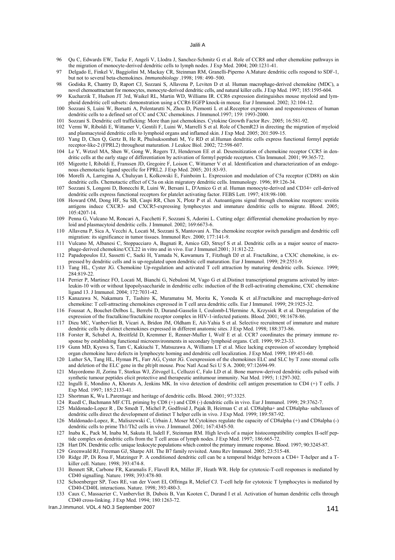- 96 Qu C, Edwards EW, Tacke F, Angeli V, Llodra J, Sanchez-Schmitz G et al. Role of CCR8 and other chemokine pathways in the migration of monocyte-derived dendritic cells to lymph nodes. J Exp Med. 2004; 200:1231-41.
- 97 Delgado E, Finkel V, Baggiolini M, Mackay CR, Steinman RM, Granelli-Piperno A.Mature dendritic cells respond to SDF-1, but not to several beta-chemokines. *Immunobiology* .1998; 198: 490–500.
- 98 Godiska R, Chantry D, Raport CJ, Sozzani S, Allavena P, Leviten D et al. Human macrophage-derived chemokine (MDC), a novel chemoattractant for monocytes, monocyte-derived dendritic cells, and natural killer cells. J Exp Med. 1997; 185:1595-604.
- 99 Kucharzik T, Hudson JT 3rd, Waikel RL, Martin WD, Williams IR. CCR6 expression distinguishes mouse myeloid and lymphoid dendritic cell subsets: demonstration using a CCR6 EGFP knock-in mouse. Eur J Immunol. 2002; 32:104-12.
- 100 Sozzani S, Luini W, Borsatti A, Polentarutti N, Zhou D, Piemonti L et al.Receptor expression and responsiveness of human dendritic cells to a defined set of CC and CXC chemokines. J Immunol.1997; 159: 1993-2000.
- 101 Sozzani S. Dendritic cell trafficking: More than just chemokines. Cytokine Growth Factor Rev. 2005; 16:581-92.
- 102 Vermi W, Riboldi E, Wittamer V, Gentili F, Luini W, Marrelli S et al. Role of ChemR23 in directing the migration of myeloid and plasmacytoid dendritic cells to lymphoid organs and inflamed skin. J Exp Med. 2005; 201:509-15.
- 103 Yang D, Chen Q, Gertz B, He R, Phulsuksombati M, Ye RD et al.Human dendritic cells express functional formyl peptide receptor-like-2 (FPRL2) throughout maturation. J Leukoc Biol. 2002; 72:598-607.
- 104 Le Y, Wetzel MA, Shen W, Gong W, Rogers TJ, Henderson EE et al. Desensitization of chemokine receptor CCR5 in dendritic cells at the early stage of differentiation by activation of formyl peptide receptors. Clin Immunol. 2001; 99:365-72.
- 105 Migeotte I, Riboldi E, Franssen JD, Gregoire F, Loison C, Wittamer V et al. Identification and characterization of an endogenous chemotactic ligand specific for FPRL2. J Exp Med. 2005; 201:83-93.
- 106 Morelli A, Larregina A, Chuluyan I, Kolkowski E, Fainboim L. Expression and modulation of C5a receptor (CD88) on skin dendritic cells. Chemotactic effect of C5a on skin migratory dendritic cells. Immunology. 1996; 89:126-34.
- 107 Sozzani S, Longoni D, Bonecchi R, Luini W, Bersani L, D'Amico G et al. Human monocyte-derived and CD34+ cell-derived dendritic cells express functional receptors for platelet activating factor. FEBS Lett. 1997; 418:98-100.
- 108 Howard OM, Dong HF, Su SB, Caspi RR, Chen X, Plotz P et al. Autoantigens signal through chemokine receptors: uveitis antigens induce CXCR3- and CXCR5-expressing lymphocytes and immature dendritic cells to migrate. Blood. 2005; 105:4207-14.
- 109 Penna G, Vulcano M, Roncari A, Facchetti F, Sozzani S, Adorini L. Cutting edge: differential chemokine production by myeloid and plasmacytoid dendritic cells. J Immunol. 2002; 169:6673-6.
- 110 Allavena P, Sica A, Vecchi A, Locati M, Sozzani S, Mantovani A. The chemokine receptor switch paradigm and dendritic cell migration: its significance in tumor tissues. Immunol Rev. 2000; 177:141-9.
- 111 Vulcano M, Albanesi C, Stoppacciaro A, Bagnati R, Amico GD, Struyf S et al. Dendritic cells as a major source of macrophage-derived chemokine/CCL22 in vitro and in vivo. Eur J Immunol.2001; 31:812-22.
- 112 Papadopoulos EJ, Sassetti C, Saeki H, Yamada N, Kawamura T, Fitzhugh DJ et al. Fractalkine, a CX3C chemokine, is expressed by dendritic cells and is up-regulated upon dendritic cell maturation. Eur J Immunol. 1999; 29:2551-9.
- 113 Tang HL, Cyster JG. Chemokine Up-regulation and activated T cell attraction by maturing dendritic cells. Science. 1999; 284:819-22.
- 114 Perrier P, Martinez FO, Locati M, Bianchi G, Nebuloni M, Vago G et al.Distinct transcriptional programs activated by interleukin-10 with or without lipopolysaccharide in dendritic cells: induction of the B cell-activating chemokine, CXC chemokine ligand 13. J Immunol. 2004; 172:7031-42.
- 115 Kanazawa N, Nakamura T, Tashiro K, Muramatsu M, Morita K, Yoneda K et al.Fractalkine and macrophage-derived chemokine: T cell-attracting chemokines expressed in T cell area dendritic cells. Eur J Immunol. 1999; 29:1925-32.
- 116 Foussat A, Bouchet-Delbos L, Berrebi D, Durand-Gasselin I, Coulomb-L'Hermine A, Krzysiek R et al. Deregulation of the expression of the fractalkine/fractalkine receptor complex in HIV-1-infected patients. Blood. 2001; 98:1678-86.
- 117 Dieu MC, Vanbervliet B, Vicari A, Bridon JM, Oldham E, Ait-Yahia S et al. Selective recruitment of immature and mature dendritic cells by distinct chemokines expressed in different anatomic sites. J Exp Med. 1998; 188:373-86.
- 118 Forster R, Schubel A, Breitfeld D, Kremmer E, Renner-Muller I, Wolf E et al. CCR7 coordinates the primary immune response by establishing functional microenvironments in secondary lymphoid organs. Cell. 1999; 99:23-33.
- 119 Gunn MD, Kyuwa S, Tam C, Kakiuchi T, Matsuzawa A, Williams LT et al. Mice lacking expression of secondary lymphoid organ chemokine have defects in lymphocyte homing and dendritic cell localization. J Exp Med. 1999; 189:451-60.
- 120 Luther SA, Tang HL, Hyman PL, Farr AG, Cyster JG. Coexpression of the chemokines ELC and SLC by T zone stromal cells and deletion of the ELC gene in the plt/plt mouse. Proc Natl Acad Sci U S A. 2000; 97:12694-99.
- 121 Mayordomo JI, Zorina T, Storkus WJ, Zitvogel L, Celluzzi C, Falo LD et al. Bone marrow-derived dendritic cells pulsed with synthetic tumour peptides elicit protective and therapeutic antitumour immunity. Nat Med. 1995; 1:1297-302.
- 122 Ingulli E, Mondino A, Khoruts A, Jenkins MK. In vivo detection of dendritic cell antigen presentation to CD4 (+) T cells. J Exp Med. 1997; 185:2133-41.
- 123 Shortman K, Wu L.Parentage and heritage of dendritic cells. Blood. 2001; 97:3325.
- 124 Ruedl C, Bachmann MF.CTL priming by CD8 (+) and CD8 (-) dendritic cells in vivo. Eur J Immunol. 1999; 29:3762-7.
- 125 Maldonado-Lopez R , De Smedt T, Michel P, Godfroid J, Pajak B, Heirman C et al. CD8alpha+ and CD8alpha- subclasses of dendritic cells direct the development of distinct T helper cells in vivo. J Exp Med. 1999; 189:587-92.
- 126 Maldonado-Lopez, R., Maliszewski C, Urbain J, Moser M.Cytokines regulate the capacity of CD8alpha (+) and CD8alpha (-) dendritic cells to prime Th1/Th2 cells in vivo. J Immunol. 2001; 167:4345-50.
- 127 Inaba K., Pack M, Inaba M, Sakuta H, Isdell F, Steinman RM. High levels of a major histocompatibility complex II-self peptide complex on dendritic cells from the T cell areas of lymph nodes. J Exp Med. 1997; 186:665-72.
- 128 Hart DN. Dendritic cells: unique leukocyte populations which control the primary immune response. Blood. 1997; 90:3245-87.
- 129 Greenwald RJ, Freeman GJ, Sharpe AH. The B7 family revisited. Annu Rev Immunol. 2005; 23:515-48.
- 130 Ridge JP, Di Rosa F, Matzinger P. A conditioned dendritic cell can be a temporal bridge between a CD4+ T-helper and a Tkiller cell. Nature. 1998; 393:474-8.
- 131 Bennett SR, Carbone FR, Karamalis F, Flavell RA, Miller JF, Heath WR. Help for cytotoxic-T-cell responses is mediated by CD40 signalling. Nature. 1998; 393:478-80.
- 132 Schoenberger SP, Toes RE, van der Voort EI, Offringa R, Melief CJ. T-cell help for cytotoxic T lymphocytes is mediated by CD40-CD40L interactions. Nature. 1998; 393:480-3.
- 133 Caux C, Massacrier C, Vanbervliet B, Dubois B, Van Kooten C, Durand I et al. Activation of human dendritic cells through CD40 cross-linking. J Exp Med. 1994; 180:1263-72.
- Iran.J.Immunol. VOL.4 NO.3 September 2007 141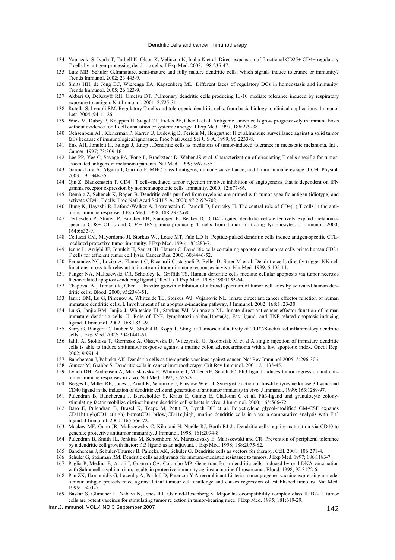#### Dendritic cells and cancer immunotherapy

- 134 Yamazaki S, Iyoda T, Tarbell K, Olson K, Velinzon K, Inaba K et al. Direct expansion of functional CD25+ CD4+ regulatory T cells by antigen-processing dendritic cells. J Exp Med. 2003; 198:235-47.
- 135 Lutz MB, Schuler G.Immature, semi-mature and fully mature dendritic cells: which signals induce tolerance or immunity? Trends Immunol. 2002; 23:445-9.
- 136 Smits HH, de Jong EC, Wierenga EA, Kapsenberg ML. Different faces of regulatory DCs in homeostasis and immunity. Trends Immunol. 2005; 26:123-9.
- 137 Akbari O, DeKruyff RH, Umetsu DT. Pulmonary dendritic cells producing IL-10 mediate tolerance induced by respiratory exposure to antigen. Nat Immunol. 2001; 2:725-31.
- 138 Rutella S, Lemoli RM. Regulatory T cells and tolerogenic dendritic cells: from basic biology to clinical applications. Immunol Lett. 2004 ;94:11-26.
- 139 Wick M, Dubey P, Koeppen H, Siegel CT, Fields PE, Chen L et al. Antigenic cancer cells grow progressively in immune hosts without evidence for T cell exhaustion or systemic anergy. J Exp Med. 1997; 186:229-38.
- 140 Ochsenbein AF, Klenerman P, Karrer U, Ludewig B, Pericin M, Hengartner H et al.Immune surveillance against a solid tumor fails because of immunological ignorance. Proc Natl Acad Sci U S A. 1999; 96:2233-8.
- 141 Enk AH, Jonuleit H, Saloga J, Knop J.Dendritic cells as mediators of tumor-induced tolerance in metastatic melanoma. Int J Cancer. 1997; 73:309-16.
- 142 Lee PP, Yee C, Savage PA, Fong L, Brockstedt D, Weber JS et al. Characterization of circulating T cells specific for tumorassociated antigens in melanoma patients. Nat Med. 1999; 5:677-85.
- 143 Garcia-Lora A, Algarra I, Garrido F. MHC class I antigens, immune surveillance, and tumor immune escape. J Cell Physiol. 2003; 195:346-55.
- 144 Qin Z, Blankenstein T. CD4+ T cell--mediated tumor rejection involves inhibition of angiogenesis that is dependent on IFN gamma receptor expression by nonhematopoietic cells. Immunity. 2000; 12:677-86.
- 145 Dembic Z, Schenck K, Bogen B. Dendritic cells purified from myeloma are primed with tumor-specific antigen (idiotype) and activate CD4+ T cells. Proc Natl Acad Sci U S A. 2000; 97:2697-702.
- 146 Hung K, Hayashi R, Lafond-Walker A, Lowenstein C, Pardoll D, Levitsky H. The central role of CD4(+) T cells in the antitumor immune response. J Exp Med. 1998; 188:2357-68.
- 147 Terheyden P, Straten P, Brocker EB, Kampgen E, Becker JC. CD40-ligated dendritic cells effectively expand melanomaspecific CD8+ CTLs and CD4+ IFN-gamma-producing T cells from tumor-infiltrating lymphocytes. J Immunol. 2000; 164:6633-9.
- 148 Celluzzi CM, Mayordomo JI, Storkus WJ, Lotze MT, Falo LD Jr. Peptide-pulsed dendritic cells induce antigen-specific CTLmediated protective tumor immunity. J Exp Med. 1996; 183:283-7.
- 149 Jenne L, Arrighi JF, Jonuleit H, Saurat JH, Hauser C. Dendritic cells containing apoptotic melanoma cells prime human CD8+ T cells for efficient tumor cell lysis. Cancer Res. 2000; 60:4446-52.
- 150 Fernandez NC, Lozier A, Flament C, Ricciardi-Castagnoli P, Bellet D, Suter M et al. Dendritic cells directly trigger NK cell functions: cross-talk relevant in innate anti-tumor immune responses in vivo. Nat Med. 1999; 5:405-11.
- 151 Fanger NA, Maliszewski CR, Schooley K, Griffith TS. Human dendritic cells mediate cellular apoptosis via tumor necrosis factor-related apoptosis-inducing ligand (TRAIL). J Exp Med. 1999; 190:1155-64.
- 152 Chapoval AI, Tamada K, Chen L. In vitro growth inhibition of a broad spectrum of tumor cell lines by activated human dendritic cells. Blood. 2000; 95:2346-51.
- 153 Janjic BM, Lu G, Pimenov A, Whiteside TL, Storkus WJ, Vujanovic NL. Innate direct anticancer effector function of human immature dendritic cells. I. Involvement of an apoptosis-inducing pathway. J Immunol. 2002; 168:1823-30.
- 154 Lu G, Janjic BM, Janjic J, Whiteside TL, Storkus WJ, Vujanovic NL. Innate direct anticancer effector function of human immature dendritic cells. II. Role of TNF, lymphotoxin-alpha(1)beta(2), Fas ligand, and TNF-related apoptosis-inducing ligand. J Immunol. 2002; 168:1831-9.
- 155 Stary G, Bangert C, Tauber M, Strohal R, Kopp T, Stingl G.Tumoricidal activity of TLR7/8-activated inflammatory dendritic cells. J Exp Med. 2007; 204:1441-51.
- 156 Jalili A, Stoklosa T, Giermasz A, Olszewska D, Wilczynski G, Jakobisiak M et al.A single injection of immature dendritic cells is able to induce antitumour response against a murine colon adenocarcinoma with a low apoptotic index. Oncol Rep. 2002; 9:991-4.
- 157 Banchereau J, Palucka AK. Dendritic cells as therapeutic vaccines against cancer. Nat Rev Immunol.2005; 5:296-306.
- 158 Gunzer M, Grabbe S. Dendritic cells in cancer immunotherapy. Crit Rev Immunol. 2001; 21:133-45.
- 159 Lynch DH, Andreasen A, Maraskovsky E, Whitmore J, Miller RE, Schuh JC. Flt3 ligand induces tumor regression and antitumor immune responses in vivo. Nat Med. 1997; 3:625-31.
- 160 Borges L, Miller RE, Jones J, Ariail K, Whitmore J, Fanslow W et al. Synergistic action of fms-like tyrosine kinase 3 ligand and CD40 ligand in the induction of dendritic cells and generation of antitumor immunity in vivo. J Immunol. 1999; 163:1289-97.
- 161 Pulendran B, Banchereau J, Burkeholder S, Kraus E, Guinet E, Chalouni C et al. Flt3-ligand and granulocyte colonystimulating factor mobilize distinct human dendritic cell subsets in vivo. J Immunol. 2000; 165:566-72.
- 162 Daro E, Pulendran B, Brasel K, Teepe M, Pettit D, Lynch DH et al. Polyethylene glycol-modified GM-CSF expands CD11b(high)CD11c(high) butnotCD11b(low)CD11c(high) murine dendritic cells in vivo: a comparative analysis with Flt3 ligand. J Immunol. 2000; 165:566-72.
- 163 Mackey MF, Gunn JR, Maliszewsky C, Kikutani H, Noelle RJ, Barth RJ Jr. Dendritic cells require maturation via CD40 to generate protective antitumor immunity. J Immunol. 1998; 161:2094-8.
- 164 Pulendran B, Smith JL, Jenkins M, Schoenborn M, Maraskovsky E, Maliszewski and CR. Prevention of peripheral tolerance by a dendritic cell growth factor: flt3 ligand as an adjuvant. J Exp Med. 1998; 188:2075-82.
- 165 Banchereau J, Schuler-Thurner B, Palucka AK, Schuler G. Dendritic cells as vectors for therapy. Cell. 2001; 106:271-4.
- 166 Schuler G, Steinman RM. Dendritic cells as adjuvants for immune-mediated resistance to tumors. J Exp Med. 1997; 186:1183-7.
- 167 Paglia P, Medina E, Arioli I, Guzman CA, Colombo MP. Gene transfer in dendritic cells, induced by oral DNA vaccination with Salmonella typhimurium, results in protective immunity against a murine fibrosarcoma. Blood. 1998; 92:3172-6.
- 168 Pan ZK, Ikonomidis G, Lazenby A, Pardoll D, Paterson Y.A recombinant Listeria monocytogenes vaccine expressing a model tumour antigen protects mice against lethal tumour cell challenge and causes regression of established tumours. Nat Med. 1995; 1:471-7.
- 169 Baskar S, Glimcher L, Nabavi N, Jones RT, Ostrand-Rosenberg S. Major histocompatibility complex class II+B7-1+ tumor cells are potent vaccines for stimulating tumor rejection in tumor-bearing mice. J Exp Med. 1995; 181:619-29.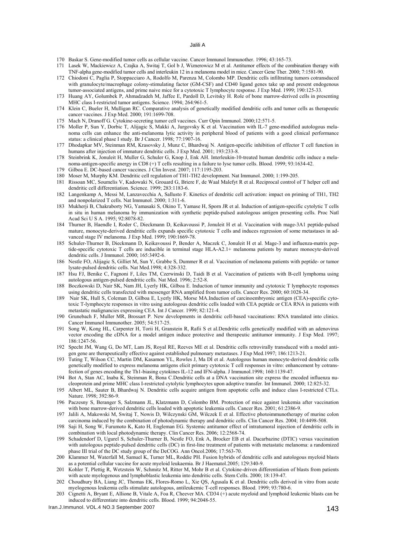#### Jalili A

- 170 Baskar S. Gene-modified tumor cells as cellular vaccine. Cancer Immunol Immunother. 1996; 43:165-73.
- 171 Lasek W, Mackiewicz A, Czajka A, Switaj T, Gol b J, [Wiznerowicz M](http://www.ncbi.nlm.nih.gov/sites/entrez?Db=pubmed&Cmd=Search&Term=%22Wiznerowicz%20M%22%5BAuthor%5D&itool=EntrezSystem2.PEntrez.Pubmed.Pubmed_ResultsPanel.Pubmed_RVAbstractPlus) et al. Antitumor effects of the combination therapy with TNF-alpha gene-modified tumor cells and interleukin 12 in a melanoma model in mice. Cancer Gene Ther. 2000; 7:1581-90.
- 172 Chiodoni C, Paglia P, Stoppacciaro A, Rodolfo M, Parenza M, Colombo MP. Dendritic cells infiltrating tumors cotransduced with granulocyte/macrophage colony-stimulating factor (GM-CSF) and CD40 ligand genes take up and present endogenous tumor-associated antigens, and prime naive mice for a cytotoxic T lymphocyte response. J Exp Med. 1999; 190:125-33.
- 173 Huang AY, Golumbek P, Ahmadzadeh M, Jaffee E, Pardoll D, Levitsky H. Role of bone marrow-derived cells in presenting MHC class I-restricted tumor antigens. Science. 1994; 264:961-5.
- 174 Klein C, Bueler H, Mulligan RC. Comparative analysis of genetically modified dendritic cells and tumor cells as therapeutic cancer vaccines. J Exp Med. 2000; 191:1699-708.
- 175 Mach N, Dranoff G. Cytokine-secreting tumor cell vaccines. Curr Opin Immunol. 2000;12:571-5.
- 176 Moller P, Sun Y, Dorbic T, Alijagic S, Makki A, Jurgovsky K et al. Vaccination with IL-7 gene-modified autologous melanoma cells can enhance the anti-melanoma lytic activity in peripheral blood of patients with a good clinical performance status: a clinical phase I study. Br J Cancer. 1998; 77:1907-16.
- 177 Dhodapkar MV, Steinman RM, Krasovsky J, Munz C, Bhardwaj N. Antigen-specific inhibition of effector T cell function in humans after injection of immature dendritic cells. J Exp Med. 2001; 193:233-8.
- 178 Steinbrink K, Jonuleit H, Muller G, Schuler G, Knop J, Enk AH. Interleukin-10-treated human dendritic cells induce a melanoma-antigen-specific anergy in CD8 (+) T cells resulting in a failure to lyse tumor cells. Blood. 1999; 93:1634-42.
- 179 Gilboa E. DC-based cancer vaccines. J Clin Invest. 2007; 117:1195-203.
- 180 Moser M, Murphy KM. Dendritic cell regulation of TH1-TH2 development. Nat Immunol. 2000; 1:199-205.
- 181 Rissoan MC, Soumelis V, Kadowaki N, Grouard G, Briere F, de Waal Malefyt R et al. Reciprocal control of T helper cell and dendritic cell differentiation. Science. 1999; 283:1183-6.
- 182 Langenkamp A, Messi M, Lanzavecchia A, Sallusto F. Kinetics of dendritic cell activation: impact on priming of TH1, TH2 and nonpolarized T cells. Nat Immunol. 2000; 1:311-6.
- 183 Mukherji B, Chakraborty NG, Yamasaki S, Okino T, Yamase H, Sporn JR et al. Induction of antigen-specific cytolytic T cells in situ in human melanoma by immunization with synthetic peptide-pulsed autologous antigen presenting cells. Proc Natl Acad Sci U S A. 1995; 92:8078-82.
- 184 Thurner B, Haendle I, Roder C, Dieckmann D, Keikavoussi P, Jonuleit H et al. Vaccination with mage-3A1 peptide-pulsed mature, monocyte-derived dendritic cells expands specific cytotoxic T cells and induces regression of some metastases in advanced stage IV melanoma. J Exp Med. 1999; 190:1669-78.
- 185 Schuler-Thurner B, Dieckmann D, Keikavoussi P, Bender A, Maczek C, Jonuleit H et al. Mage-3 and influenza-matrix peptide-specific cytotoxic T cells are inducible in terminal stage HLA-A2.1+ melanoma patients by mature monocyte-derived dendritic cells. J Immunol. 2000; 165:3492-6.
- 186 Nestle FO, Alijagic S, Gilliet M, Sun Y, Grabbe S, Dummer R et al. Vaccination of melanoma patients with peptide- or tumor lysate-pulsed dendritic cells. Nat Med.1998; 4:328-332.
- 187 Hsu FJ, Benike C, Fagnoni F, Liles TM, Czerwinski D, Taidi B et al. Vaccination of patients with B-cell lymphoma using autologous antigen-pulsed dendritic cells. Nat Med. 1996; 2:52-8.
- 188 Boczkowski D, Nair SK, Nam JH, Lyerly HK, Gilboa E. Induction of tumor immunity and cytotoxic T lymphocyte responses using dendritic cells transfected with messenger RNA amplified from tumor cells. Cancer Res. 2000; 60:1028-34.
- 189 Nair SK, Hull S, Coleman D, Gilboa E, Lyerly HK, Morse MA.Induction of carcinoembryonic antigen (CEA)-specific cytotoxic T-lymphocyte responses in vitro using autologous dendritic cells loaded with CEA peptide or CEA RNA in patients with metastatic malignancies expressing CEA. Int J Cancer. 1999; 82:121-4.
- 190 Grunebach F, Muller MR, Brossart P. New developments in dendritic cell-based vaccinations: RNA translated into clinics. Cancer Immunol Immunother. 2005; 54:517-25.
- 191 Song W, Kong HL, Carpenter H, Torii H, Granstein R, Rafii S et al.Dendritic cells genetically modified with an adenovirus vector encoding the cDNA for a model antigen induce protective and therapeutic antitumor immunity. J Exp Med. 1997; 186:1247-56.
- 192 Specht JM, Wang G, Do MT, Lam JS, Royal RE, Reeves ME et al. Dendritic cells retrovirally transduced with a model antigen gene are therapeutically effective against established pulmonary metastases. J Exp Med.1997; 186:1213-21.
- 193 Tuting T, Wilson CC, Martin DM, Kasamon YL, Rowles J, Ma DI et al. Autologous human monocyte-derived dendritic cells genetically modified to express melanoma antigens elicit primary cytotoxic T cell responses in vitro: enhancement by cotransfection of genes encoding the Th1-biasing cytokines IL-12 and IFN-alpha. J Immunol.1998; 160:1139-47.
- 194 Bot A, Stan AC, Inaba K, Steinman R, Bona C.Dendritic cells at a DNA vaccination site express the encoded influenza nucleoprotein and prime MHC class I-restricted cytolytic lymphocytes upon adoptive transfer. Int Immunol. 2000; 12:825-32.
- 195 Albert ML, Sauter B, Bhardwaj N. Dendritic cells acquire antigen from apoptotic cells and induce class I-restricted CTLs. Nature. 1998; 392:86-9.
- 196 Paczesny S, Beranger S, Salzmann JL, Klatzmann D, Colombo BM. Protection of mice against leukemia after vaccination with bone marrow-derived dendritic cells loaded with apoptotic leukemia cells. Cancer Res. 2001; 61:2386-9.
- 197 Jalili A, Makowski M, Switaj T, Nowis D, Wilczynski GM, Wilczek E et al. Effective photoimmunotherapy of murine colon carcinoma induced by the combination of photodynamic therapy and dendritic cells. Clin Cancer Res. 2004; 10:4498-508.
- 198 Saji H, Song W, Furumoto K, Kato H, Engleman EG. Systemic antitumor effect of intratumoral injection of dendritic cells in combination with local photodynamic therapy. Clin Cancer Res. 2006; 12:2568-74.
- 199 Schadendorf D, Ugurel S, Schuler-Thurner B, Nestle FO, Enk A, Brocker EB et al. Dacarbazine (DTIC) versus vaccination with autologous peptide-pulsed dendritic cells (DC) in first-line treatment of patients with metastatic melanoma: a randomized phase III trial of the DC study group of the DeCOG. Ann Oncol.2006; 17:563-70.
- 200 Klammer M, Waterfall M, Samuel K, Turner ML, Roddie PH. Fusion hybrids of dendritic cells and autologous myeloid blasts as a potential cellular vaccine for acute myeloid leukaemia. Br J Haematol.2005; 129:340-9.
- 201 Kohler T, Plettig R, Wetzstein W, Schmitz M, Ritter M, Mohr B et al. Cytokine-driven differentiation of blasts from patients with acute myelogenous and lymphoblastic leukemia into dendritic cells. Stem Cells. 2000; 18:139-47.
- 202 Choudhury BA, Liang JC, Thomas EK, Flores-Romo L, Xie QS, Agusala K et al. Dendritic cells derived in vitro from acute myelogenous leukemia cells stimulate autologous, antileukemic T-cell responses. Blood. 1999; 93:780-6.
- 203 Cignetti A, Bryant E, Allione B, Vitale A, Foa R, Cheever MA. CD34 (+) acute myeloid and lymphoid leukemic blasts can be induced to differentiate into dendritic cells. Blood. 1999; 94:2048-55.